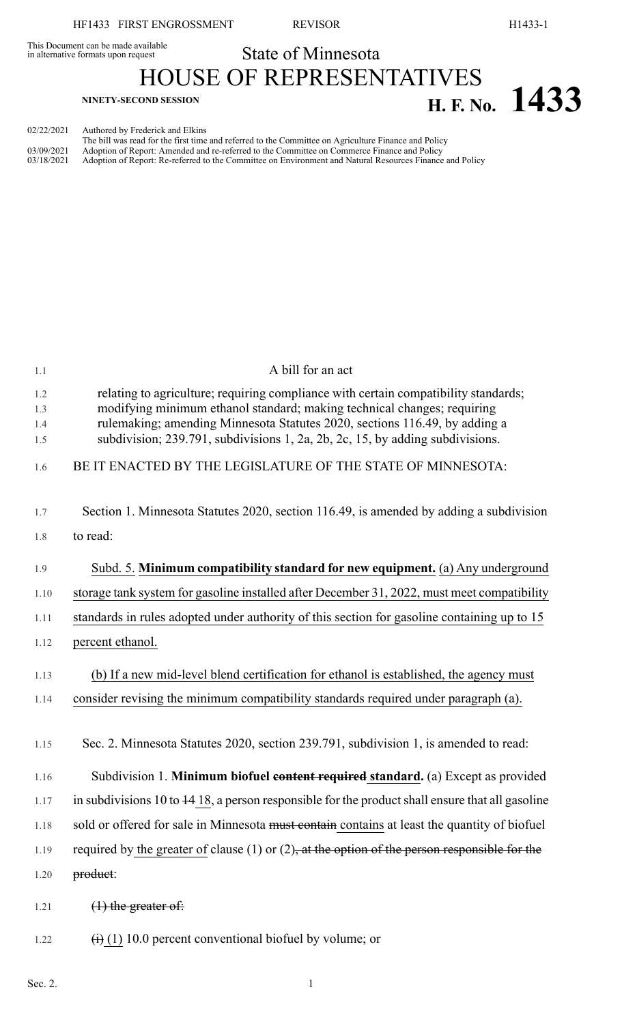This Document can be made available<br>in alternative formats upon request

## State of Minnesota HOUSE OF REPRESENTATIVES **H. F. No. 1433**

02/22/2021 Authored by Frederick and Elkins

|            | The bill was read for the first time and referred to the Committee on Agriculture Finance and Policy     |
|------------|----------------------------------------------------------------------------------------------------------|
| 03/09/2021 | Adoption of Report: Amended and re-referred to the Committee on Commerce Finance and Policy              |
| 03/18/2021 | Adoption of Report: Re-referred to the Committee on Environment and Natural Resources Finance and Policy |
|            |                                                                                                          |

| 1.1        | A bill for an act                                                                                                                                              |
|------------|----------------------------------------------------------------------------------------------------------------------------------------------------------------|
| 1.2<br>1.3 | relating to agriculture; requiring compliance with certain compatibility standards;<br>modifying minimum ethanol standard; making technical changes; requiring |
| 1.4<br>1.5 | rulemaking; amending Minnesota Statutes 2020, sections 116.49, by adding a<br>subdivision; 239.791, subdivisions 1, 2a, 2b, 2c, 15, by adding subdivisions.    |
| 1.6        | BE IT ENACTED BY THE LEGISLATURE OF THE STATE OF MINNESOTA:                                                                                                    |
| 1.7        | Section 1. Minnesota Statutes 2020, section 116.49, is amended by adding a subdivision                                                                         |
| 1.8        | to read:                                                                                                                                                       |
| 1.9        | Subd. 5. Minimum compatibility standard for new equipment. (a) Any underground                                                                                 |
| 1.10       | storage tank system for gasoline installed after December 31, 2022, must meet compatibility                                                                    |
| 1.11       | standards in rules adopted under authority of this section for gasoline containing up to 15                                                                    |
| 1.12       | percent ethanol.                                                                                                                                               |
| 1.13       | (b) If a new mid-level blend certification for ethanol is established, the agency must                                                                         |
| 1.14       | consider revising the minimum compatibility standards required under paragraph (a).                                                                            |
|            |                                                                                                                                                                |
| 1.15       | Sec. 2. Minnesota Statutes 2020, section 239.791, subdivision 1, is amended to read:                                                                           |
| 1.16       | Subdivision 1. Minimum biofuel content required standard. (a) Except as provided                                                                               |
| 1.17       | in subdivisions 10 to $\frac{14}{18}$ , a person responsible for the product shall ensure that all gasoline                                                    |
| 1.18       | sold or offered for sale in Minnesota must contained contains at least the quantity of biofuel                                                                 |
| 1.19       | required by the greater of clause (1) or (2), at the option of the person responsible for the                                                                  |
| 1.20       | product:                                                                                                                                                       |
| 1.21       | $(1)$ the greater of:                                                                                                                                          |
| 1.22       | $\overrightarrow{(1)}$ (1) 10.0 percent conventional biofuel by volume; or                                                                                     |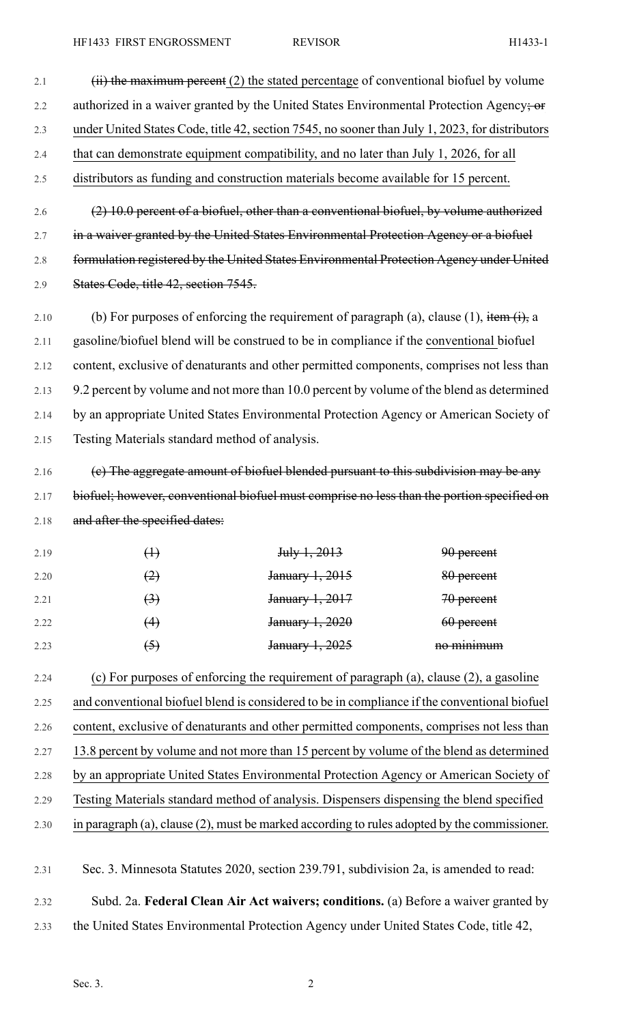2.1  $(iii)$  the maximum percent (2) the stated percentage of conventional biofuel by volume 2.2 authorized in a waiver granted by the United States Environmental Protection Agency; or 2.3 under United States Code, title 42, section 7545, no sooner than July 1, 2023, for distributors 2.4 that can demonstrate equipment compatibility, and no later than July 1, 2026, for all 2.5 distributors as funding and construction materials become available for 15 percent. 2.6 (2) 10.0 percent of a biofuel, other than a conventional biofuel, by volume authorized 2.7 in a waiver granted by the United States Environmental Protection Agency or a biofuel 2.8 formulation registered by the United States Environmental Protection Agency under United 2.9 States Code, title 42, section 7545.

2.10 (b) For purposes of enforcing the requirement of paragraph (a), clause (1), item  $(i)$ , a 2.11 gasoline/biofuel blend will be construed to be in compliance if the conventional biofuel 2.12 content, exclusive of denaturants and other permitted components, comprises not less than 2.13 9.2 percent by volume and not more than 10.0 percent by volume of the blend as determined 2.14 by an appropriate United States Environmental Protection Agency or American Society of 2.15 Testing Materials standard method of analysis.

2.16 (e) The aggregate amount of biofuel blended pursuant to this subdivision may be any 2.17 biofuel; however, conventional biofuel must comprise no less than the portion specified on 2.18 and after the specified dates:

| 2.19 | $\oplus$          | July 1, 2013    | 90 percent |
|------|-------------------|-----------------|------------|
| 2.20 | (2)               | January 1, 2015 | 80 percent |
| 2.21 | $\leftrightarrow$ | January 1, 2017 | 70 percent |
| 2.22 | (4)               | January 1, 2020 | 60 percent |
| 2.23 | (5)               | January 1, 2025 | no minimum |

2.24 (c) For purposes of enforcing the requirement of paragraph (a), clause (2), a gasoline 2.25 and conventional biofuel blend is considered to be in compliance if the conventional biofuel 2.26 content, exclusive of denaturants and other permitted components, comprises not less than 2.27 13.8 percent by volume and not more than 15 percent by volume of the blend as determined 2.28 by an appropriate United States Environmental Protection Agency or American Society of 2.29 Testing Materials standard method of analysis. Dispensers dispensing the blend specified 2.30 in paragraph (a), clause (2), must be marked according to rules adopted by the commissioner.

2.31 Sec. 3. Minnesota Statutes 2020, section 239.791, subdivision 2a, is amended to read: 2.32 Subd. 2a. **Federal Clean Air Act waivers; conditions.** (a) Before a waiver granted by 2.33 the United States Environmental Protection Agency under United States Code, title 42,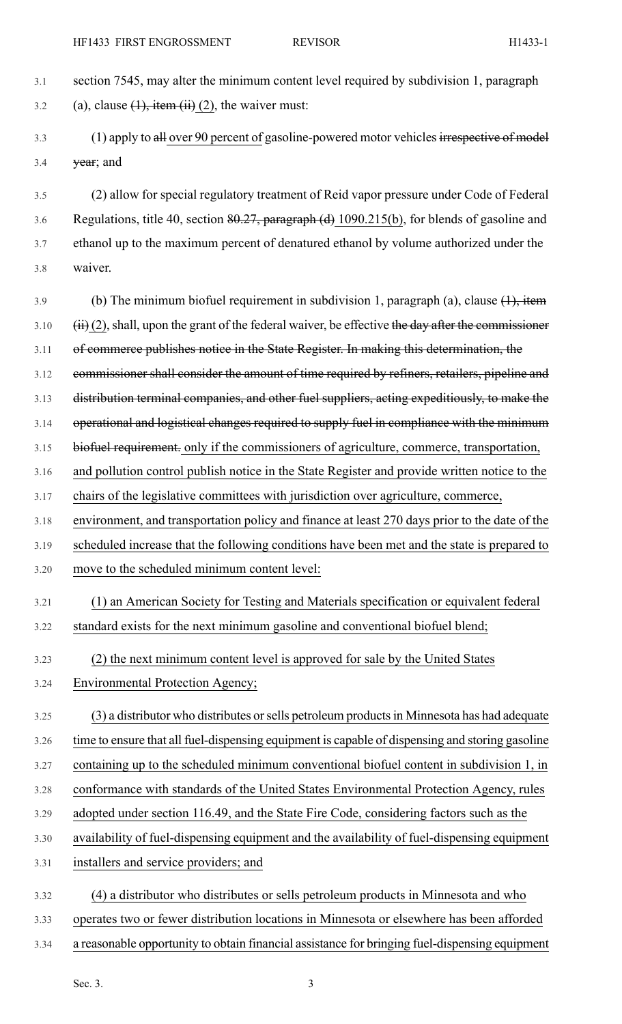- 3.1 section 7545, may alter the minimum content level required by subdivision 1, paragraph 3.2 (a), clause  $(1)$ , item  $(ii)$   $(2)$ , the waiver must: 3.3 (1) apply to all over 90 percent of gasoline-powered motor vehicles irrespective of model  $3.4$  year; and 3.5 (2) allow for special regulatory treatment of Reid vapor pressure under Code of Federal 3.6 Regulations, title 40, section 80.27, paragraph (d) 1090.215(b), for blends of gasoline and 3.7 ethanol up to the maximum percent of denatured ethanol by volume authorized under the 3.8 waiver. 3.9 (b) The minimum biofuel requirement in subdivision 1, paragraph (a), clause  $(1)$ , item  $3.10$  (ii) (2), shall, upon the grant of the federal waiver, be effective the day after the commissioner 3.11 of commerce publishes notice in the State Register. In making this determination, the 3.12 commissioner shall consider the amount of time required by refiners, retailers, pipeline and 3.13 distribution terminal companies, and other fuel suppliers, acting expeditiously, to make the 3.14 operational and logistical changes required to supply fuel in compliance with the minimum 3.15 biofuel requirement. only if the commissioners of agriculture, commerce, transportation, 3.16 and pollution control publish notice in the State Register and provide written notice to the 3.17 chairs of the legislative committees with jurisdiction over agriculture, commerce, 3.18 environment, and transportation policy and finance at least 270 days prior to the date of the 3.19 scheduled increase that the following conditions have been met and the state is prepared to 3.20 move to the scheduled minimum content level: 3.21 (1) an American Society for Testing and Materials specification or equivalent federal 3.22 standard exists for the next minimum gasoline and conventional biofuel blend; 3.23 (2) the next minimum content level is approved for sale by the United States 3.24 Environmental Protection Agency; 3.25 (3) a distributor who distributes orsells petroleum productsin Minnesota has had adequate 3.26 time to ensure that all fuel-dispensing equipment is capable of dispensing and storing gasoline 3.27 containing up to the scheduled minimum conventional biofuel content in subdivision 1, in 3.28 conformance with standards of the United States Environmental Protection Agency, rules 3.29 adopted under section 116.49, and the State Fire Code, considering factors such as the 3.30 availability of fuel-dispensing equipment and the availability of fuel-dispensing equipment 3.31 installers and service providers; and 3.32 (4) a distributor who distributes or sells petroleum products in Minnesota and who 3.33 operates two or fewer distribution locations in Minnesota or elsewhere has been afforded
- 3.34 a reasonable opportunity to obtain financial assistance for bringing fuel-dispensing equipment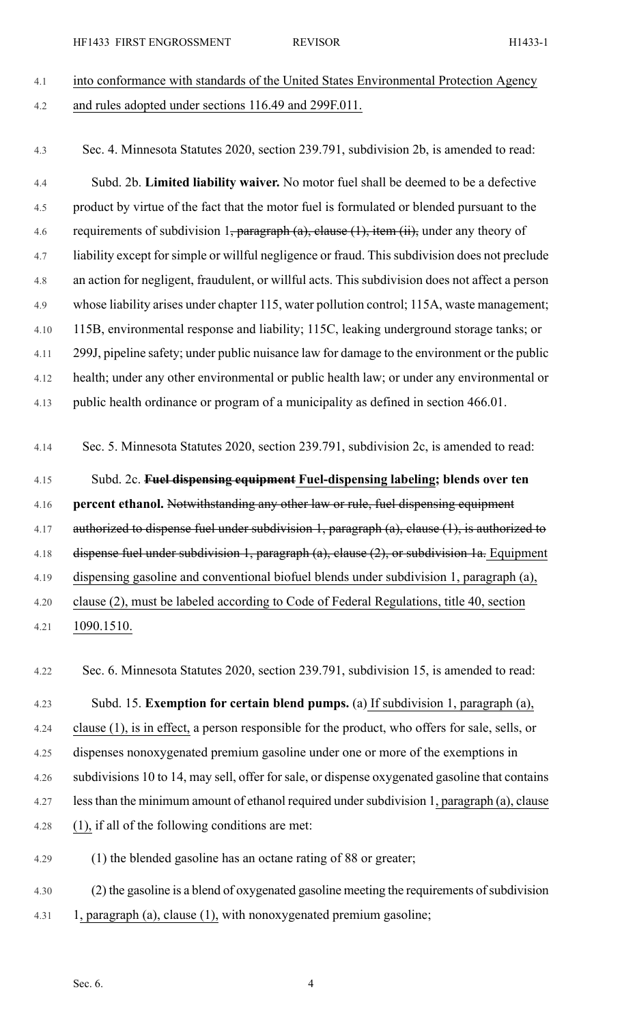| 41  | into conformance with standards of the United States Environmental Protection Agency |
|-----|--------------------------------------------------------------------------------------|
| 4.2 | and rules adopted under sections 116.49 and 299F.011.                                |

4.3 Sec. 4. Minnesota Statutes 2020, section 239.791, subdivision 2b, is amended to read:

4.4 Subd. 2b. **Limited liability waiver.** No motor fuel shall be deemed to be a defective 4.5 product by virtue of the fact that the motor fuel is formulated or blended pursuant to the 4.6 requirements of subdivision 1, paragraph (a), clause  $(1)$ , item  $(ii)$ , under any theory of 4.7 liability except forsimple or willful negligence or fraud. Thissubdivision does not preclude 4.8 an action for negligent, fraudulent, or willful acts. This subdivision does not affect a person 4.9 whose liability arises under chapter 115, water pollution control; 115A, waste management; 4.10 115B, environmental response and liability; 115C, leaking underground storage tanks; or 4.11 299J, pipeline safety; under public nuisance law for damage to the environment or the public 4.12 health; under any other environmental or public health law; or under any environmental or 4.13 public health ordinance or program of a municipality as defined in section 466.01.

4.14 Sec. 5. Minnesota Statutes 2020, section 239.791, subdivision 2c, is amended to read:

## 4.15 Subd. 2c. **Fuel dispensing equipment Fuel-dispensing labeling; blends over ten** 4.16 **percent ethanol.** Notwithstanding any other law or rule, fuel dispensing equipment 4.17 authorized to dispense fuel under subdivision 1, paragraph (a), clause (1), is authorized to 4.18 dispense fuel under subdivision 1, paragraph (a), clause (2), or subdivision 1a. Equipment 4.19 dispensing gasoline and conventional biofuel blends under subdivision 1, paragraph (a), 4.20 clause (2), must be labeled according to Code of Federal Regulations, title 40, section 4.21 1090.1510.

4.22 Sec. 6. Minnesota Statutes 2020, section 239.791, subdivision 15, is amended to read:

4.23 Subd. 15. **Exemption for certain blend pumps.** (a) If subdivision 1, paragraph (a), 4.24 clause (1), is in effect, a person responsible for the product, who offers for sale, sells, or 4.25 dispenses nonoxygenated premium gasoline under one or more of the exemptions in 4.26 subdivisions 10 to 14, may sell, offer forsale, or dispense oxygenated gasoline that contains 4.27 less than the minimum amount of ethanol required under subdivision 1, paragraph (a), clause 4.28 (1), if all of the following conditions are met:

4.29 (1) the blended gasoline has an octane rating of 88 or greater;

4.30 (2) the gasoline is a blend of oxygenated gasoline meeting the requirements of subdivision 4.31 1, paragraph (a), clause (1), with nonoxygenated premium gasoline;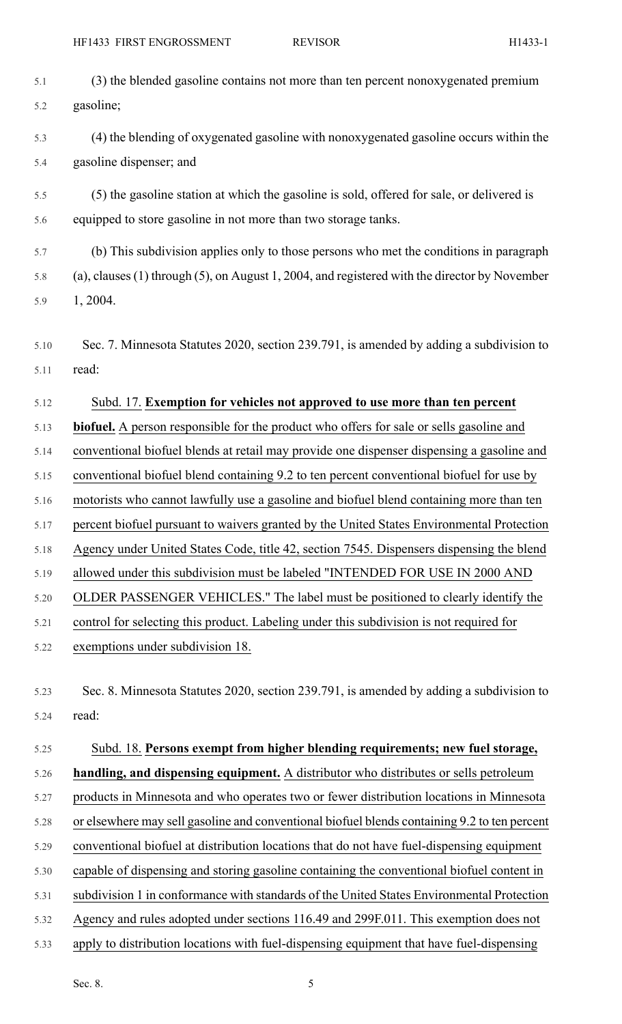5.2 gasoline;

5.1 (3) the blended gasoline contains not more than ten percent nonoxygenated premium

| 5.3  | (4) the blending of oxygenated gasoline with nonoxygenated gasoline occurs within the         |
|------|-----------------------------------------------------------------------------------------------|
| 5.4  | gasoline dispenser; and                                                                       |
| 5.5  | (5) the gasoline station at which the gasoline is sold, offered for sale, or delivered is     |
| 5.6  | equipped to store gasoline in not more than two storage tanks.                                |
| 5.7  | (b) This subdivision applies only to those persons who met the conditions in paragraph        |
| 5.8  | (a), clauses (1) through (5), on August 1, 2004, and registered with the director by November |
| 5.9  | 1, 2004.                                                                                      |
| 5.10 | Sec. 7. Minnesota Statutes 2020, section 239.791, is amended by adding a subdivision to       |
| 5.11 | read:                                                                                         |
|      |                                                                                               |
| 5.12 | Subd. 17. Exemption for vehicles not approved to use more than ten percent                    |
| 5.13 | biofuel. A person responsible for the product who offers for sale or sells gasoline and       |
| 5.14 | conventional biofuel blends at retail may provide one dispenser dispensing a gasoline and     |
| 5.15 | conventional biofuel blend containing 9.2 to ten percent conventional biofuel for use by      |
| 5.16 | motorists who cannot lawfully use a gasoline and biofuel blend containing more than ten       |
| 5.17 | percent biofuel pursuant to waivers granted by the United States Environmental Protection     |
| 5.18 | Agency under United States Code, title 42, section 7545. Dispensers dispensing the blend      |
| 5.19 | allowed under this subdivision must be labeled "INTENDED FOR USE IN 2000 AND                  |
| 5.20 | OLDER PASSENGER VEHICLES." The label must be positioned to clearly identify the               |
| 5.21 | control for selecting this product. Labeling under this subdivision is not required for       |
| 5.22 | exemptions under subdivision 18.                                                              |
|      |                                                                                               |
| 5.23 | Sec. 8. Minnesota Statutes 2020, section 239.791, is amended by adding a subdivision to       |
| 5.24 | read:                                                                                         |
| 5.25 | Subd. 18. Persons exempt from higher blending requirements; new fuel storage,                 |
| 5.26 | handling, and dispensing equipment. A distributor who distributes or sells petroleum          |
| 5.27 | products in Minnesota and who operates two or fewer distribution locations in Minnesota       |
| 5.28 | or elsewhere may sell gasoline and conventional biofuel blends containing 9.2 to ten percent  |
| 5.29 | conventional biofuel at distribution locations that do not have fuel-dispensing equipment     |
| 5.30 | capable of dispensing and storing gasoline containing the conventional biofuel content in     |
| 5.31 | subdivision 1 in conformance with standards of the United States Environmental Protection     |
| 5.32 | Agency and rules adopted under sections 116.49 and 299F.011. This exemption does not          |
| 5.33 | apply to distribution locations with fuel-dispensing equipment that have fuel-dispensing      |
|      |                                                                                               |
|      | Sec. 8.<br>5                                                                                  |